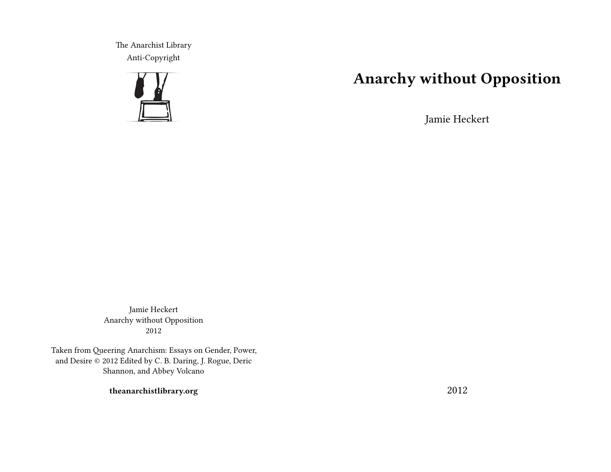The Anarchist Library Anti-Copyright



# **Anarchy without Opposition**

Jamie Heckert

Jamie Heckert Anarchy without Opposition 2012

Taken from Queering Anarchism: Essays on Gender, Power, and Desire © 2012 Edited by C. B. Daring, J. Rogue, Deric Shannon, and Abbey Volcano

**theanarchistlibrary.org**

2012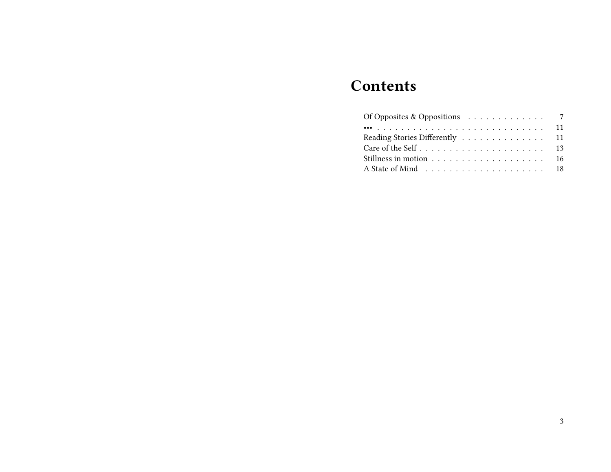# **Contents**

| Of Opposites & Oppositions $\ldots \ldots \ldots \ldots$ 7 |  |  |  |  |  |  |  |
|------------------------------------------------------------|--|--|--|--|--|--|--|
|                                                            |  |  |  |  |  |  |  |
| Reading Stories Differently 11                             |  |  |  |  |  |  |  |
|                                                            |  |  |  |  |  |  |  |
|                                                            |  |  |  |  |  |  |  |
|                                                            |  |  |  |  |  |  |  |
|                                                            |  |  |  |  |  |  |  |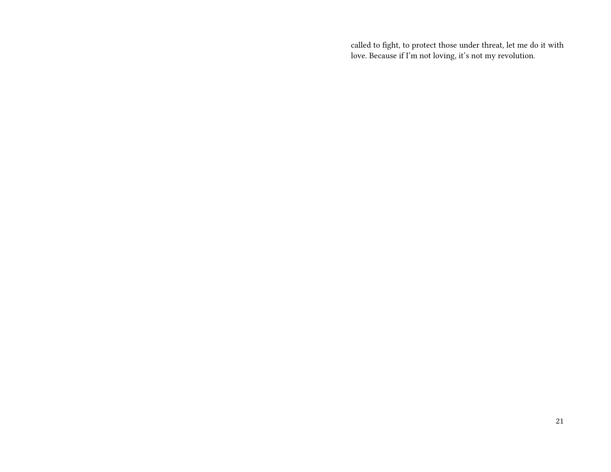called to fight, to protect those under threat, let me do it with love. Because if I'm not loving, it's not my revolution.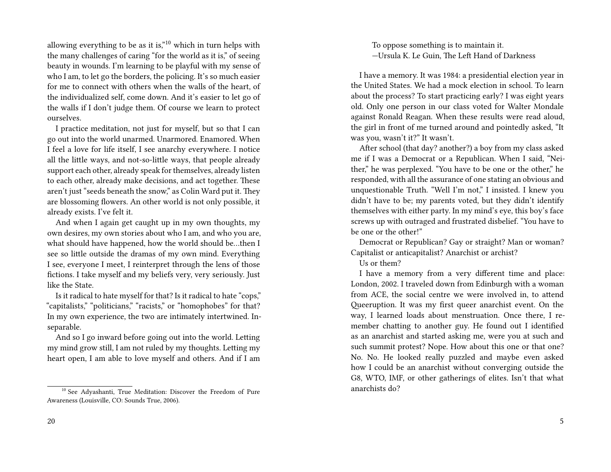allowing everything to be as it is," $10$  which in turn helps with the many challenges of caring "for the world as it is," of seeing beauty in wounds. I'm learning to be playful with my sense of who I am, to let go the borders, the policing. It's so much easier for me to connect with others when the walls of the heart, of the individualized self, come down. And it's easier to let go of the walls if I don't judge them. Of course we learn to protect ourselves.

I practice meditation, not just for myself, but so that I can go out into the world unarmed. Unarmored. Enamored. When I feel a love for life itself, I see anarchy everywhere. I notice all the little ways, and not-so-little ways, that people already support each other, already speak for themselves, already listen to each other, already make decisions, and act together. These aren't just "seeds beneath the snow," as Colin Ward put it. They are blossoming flowers. An other world is not only possible, it already exists. I've felt it.

And when I again get caught up in my own thoughts, my own desires, my own stories about who I am, and who you are, what should have happened, how the world should be…then I see so little outside the dramas of my own mind. Everything I see, everyone I meet, I reinterpret through the lens of those fictions. I take myself and my beliefs very, very seriously. Just like the State.

Is it radical to hate myself for that? Is it radical to hate "cops," "capitalists," "politicians," "racists," or "homophobes" for that? In my own experience, the two are intimately intertwined. Inseparable.

And so I go inward before going out into the world. Letting my mind grow still, I am not ruled by my thoughts. Letting my heart open, I am able to love myself and others. And if I am

To oppose something is to maintain it. —Ursula K. Le Guin, The Left Hand of Darkness

I have a memory. It was 1984: a presidential election year in the United States. We had a mock election in school. To learn about the process? To start practicing early? I was eight years old. Only one person in our class voted for Walter Mondale against Ronald Reagan. When these results were read aloud, the girl in front of me turned around and pointedly asked, "It was you, wasn't it?" It wasn't.

After school (that day? another?) a boy from my class asked me if I was a Democrat or a Republican. When I said, "Neither," he was perplexed. "You have to be one or the other," he responded, with all the assurance of one stating an obvious and unquestionable Truth. "Well I'm not," I insisted. I knew you didn't have to be; my parents voted, but they didn't identify themselves with either party. In my mind's eye, this boy's face screws up with outraged and frustrated disbelief. "You have to be one or the other!"

Democrat or Republican? Gay or straight? Man or woman? Capitalist or anticapitalist? Anarchist or archist?

Us or them?

I have a memory from a very different time and place: London, 2002. I traveled down from Edinburgh with a woman from ACE, the social centre we were involved in, to attend Queeruption. It was my first queer anarchist event. On the way, I learned loads about menstruation. Once there, I remember chatting to another guy. He found out I identified as an anarchist and started asking me, were you at such and such summit protest? Nope. How about this one or that one? No. No. He looked really puzzled and maybe even asked how I could be an anarchist without converging outside the G8, WTO, IMF, or other gatherings of elites. Isn't that what anarchists do?

<sup>&</sup>lt;sup>10</sup> See Adyashanti, True Meditation: Discover the Freedom of Pure Awareness (Louisville, CO: Sounds True, 2006).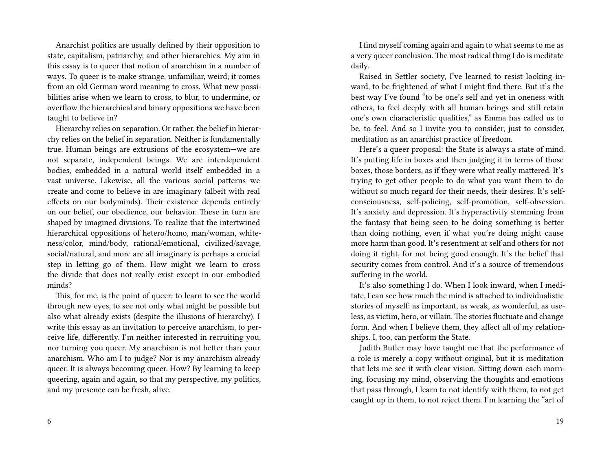Anarchist politics are usually defined by their opposition to state, capitalism, patriarchy, and other hierarchies. My aim in this essay is to queer that notion of anarchism in a number of ways. To queer is to make strange, unfamiliar, weird; it comes from an old German word meaning to cross. What new possibilities arise when we learn to cross, to blur, to undermine, or overflow the hierarchical and binary oppositions we have been taught to believe in?

Hierarchy relies on separation. Or rather, the belief in hierarchy relies on the belief in separation. Neither is fundamentally true. Human beings are extrusions of the ecosystem—we are not separate, independent beings. We are interdependent bodies, embedded in a natural world itself embedded in a vast universe. Likewise, all the various social patterns we create and come to believe in are imaginary (albeit with real effects on our bodyminds). Their existence depends entirely on our belief, our obedience, our behavior. These in turn are shaped by imagined divisions. To realize that the intertwined hierarchical oppositions of hetero/homo, man/woman, whiteness/color, mind/body, rational/emotional, civilized/savage, social/natural, and more are all imaginary is perhaps a crucial step in letting go of them. How might we learn to cross the divide that does not really exist except in our embodied minds?

This, for me, is the point of queer: to learn to see the world through new eyes, to see not only what might be possible but also what already exists (despite the illusions of hierarchy). I write this essay as an invitation to perceive anarchism, to perceive life, differently. I'm neither interested in recruiting you, nor turning you queer. My anarchism is not better than your anarchism. Who am I to judge? Nor is my anarchism already queer. It is always becoming queer. How? By learning to keep queering, again and again, so that my perspective, my politics, and my presence can be fresh, alive.

6

I find myself coming again and again to what seems to me as a very queer conclusion. The most radical thing I do is meditate daily.

Raised in Settler society, I've learned to resist looking inward, to be frightened of what I might find there. But it's the best way I've found "to be one's self and yet in oneness with others, to feel deeply with all human beings and still retain one's own characteristic qualities," as Emma has called us to be, to feel. And so I invite you to consider, just to consider, meditation as an anarchist practice of freedom.

Here's a queer proposal: the State is always a state of mind. It's putting life in boxes and then judging it in terms of those boxes, those borders, as if they were what really mattered. It's trying to get other people to do what you want them to do without so much regard for their needs, their desires. It's selfconsciousness, self-policing, self-promotion, self-obsession. It's anxiety and depression. It's hyperactivity stemming from the fantasy that being seen to be doing something is better than doing nothing, even if what you're doing might cause more harm than good. It's resentment at self and others for not doing it right, for not being good enough. It's the belief that security comes from control. And it's a source of tremendous suffering in the world.

It's also something I do. When I look inward, when I meditate, I can see how much the mind is attached to individualistic stories of myself: as important, as weak, as wonderful, as useless, as victim, hero, or villain. The stories fluctuate and change form. And when I believe them, they affect all of my relationships. I, too, can perform the State.

Judith Butler may have taught me that the performance of a role is merely a copy without original, but it is meditation that lets me see it with clear vision. Sitting down each morning, focusing my mind, observing the thoughts and emotions that pass through, I learn to not identify with them, to not get caught up in them, to not reject them. I'm learning the "art of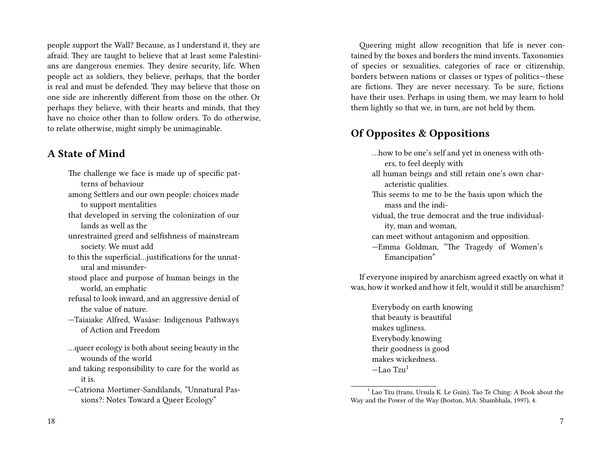people support the Wall? Because, as I understand it, they are afraid. They are taught to believe that at least some Palestinians are dangerous enemies. They desire security, life. When people act as soldiers, they believe, perhaps, that the border is real and must be defended. They may believe that those on one side are inherently different from those on the other. Or perhaps they believe, with their hearts and minds, that they have no choice other than to follow orders. To do otherwise, to relate otherwise, might simply be unimaginable.

### **A State of Mind**

The challenge we face is made up of specific patterns of behaviour among Settlers and our own people: choices made to support mentalities that developed in serving the colonization of our lands as well as the unrestrained greed and selfishness of mainstream society. We must add to this the superficial…justifications for the unnatural and misunderstood place and purpose of human beings in the world, an emphatic refusal to look inward, and an aggressive denial of the value of nature. —Taiaiake Alfred, Wasáse: Indigenous Pathways of Action and Freedom …queer ecology is both about seeing beauty in the wounds of the world and taking responsibility to care for the world as it is. —Catriona Mortimer-Sandilands, "Unnatural Passions?: Notes Toward a Queer Ecology"

Queering might allow recognition that life is never contained by the boxes and borders the mind invents. Taxonomies of species or sexualities, categories of race or citizenship, borders between nations or classes or types of politics—these are fictions. They are never necessary. To be sure, fictions have their uses. Perhaps in using them, we may learn to hold them lightly so that we, in turn, are not held by them.

## **Of Opposites & Oppositions**

…how to be one's self and yet in oneness with others, to feel deeply with all human beings and still retain one's own characteristic qualities. This seems to me to be the basis upon which the mass and the individual, the true democrat and the true individuality, man and woman, can meet without antagonism and opposition. —Emma Goldman, "The Tragedy of Women's Emancipation"

If everyone inspired by anarchism agreed exactly on what it was, how it worked and how it felt, would it still be anarchism?

Everybody on earth knowing that beauty is beautiful makes ugliness. Everybody knowing their goodness is good makes wickedness.  $-$ Lao Tzu<sup>1</sup>

<sup>&</sup>lt;sup>1</sup> Lao Tzu (trans. Ursula K. Le Guin), Tao Te Ching: A Book about the Way and the Power of the Way (Boston, MA: Shambhala, 1997), 4.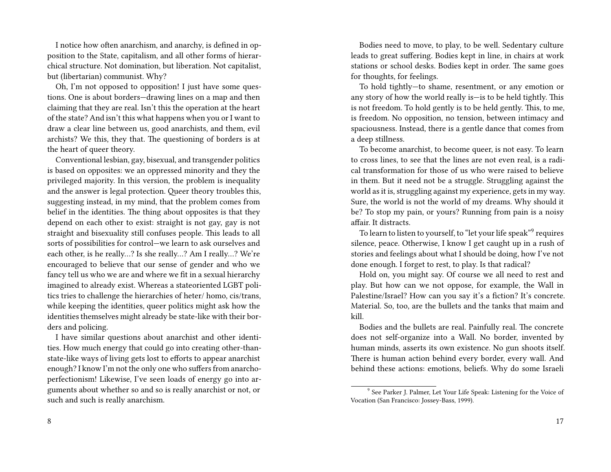I notice how often anarchism, and anarchy, is defined in opposition to the State, capitalism, and all other forms of hierarchical structure. Not domination, but liberation. Not capitalist, but (libertarian) communist. Why?

Oh, I'm not opposed to opposition! I just have some questions. One is about borders—drawing lines on a map and then claiming that they are real. Isn't this the operation at the heart of the state? And isn't this what happens when you or I want to draw a clear line between us, good anarchists, and them, evil archists? We this, they that. The questioning of borders is at the heart of queer theory.

Conventional lesbian, gay, bisexual, and transgender politics is based on opposites: we an oppressed minority and they the privileged majority. In this version, the problem is inequality and the answer is legal protection. Queer theory troubles this, suggesting instead, in my mind, that the problem comes from belief in the identities. The thing about opposites is that they depend on each other to exist: straight is not gay, gay is not straight and bisexuality still confuses people. This leads to all sorts of possibilities for control—we learn to ask ourselves and each other, is he really…? Is she really…? Am I really…? We're encouraged to believe that our sense of gender and who we fancy tell us who we are and where we fit in a sexual hierarchy imagined to already exist. Whereas a stateoriented LGBT politics tries to challenge the hierarchies of heter/ homo, cis/trans, while keeping the identities, queer politics might ask how the identities themselves might already be state-like with their borders and policing.

I have similar questions about anarchist and other identities. How much energy that could go into creating other-thanstate-like ways of living gets lost to efforts to appear anarchist enough? I know I'm not the only one who suffers from anarchoperfectionism! Likewise, I've seen loads of energy go into arguments about whether so and so is really anarchist or not, or such and such is really anarchism.

Bodies need to move, to play, to be well. Sedentary culture leads to great suffering. Bodies kept in line, in chairs at work stations or school desks. Bodies kept in order. The same goes for thoughts, for feelings.

To hold tightly—to shame, resentment, or any emotion or any story of how the world really is—is to be held tightly. This is not freedom. To hold gently is to be held gently. This, to me, is freedom. No opposition, no tension, between intimacy and spaciousness. Instead, there is a gentle dance that comes from a deep stillness.

To become anarchist, to become queer, is not easy. To learn to cross lines, to see that the lines are not even real, is a radical transformation for those of us who were raised to believe in them. But it need not be a struggle. Struggling against the world as it is, struggling against my experience, gets in my way. Sure, the world is not the world of my dreams. Why should it be? To stop my pain, or yours? Running from pain is a noisy affair. It distracts.

To learn to listen to yourself, to "let your life speak"<sup>9</sup> requires silence, peace. Otherwise, I know I get caught up in a rush of stories and feelings about what I should be doing, how I've not done enough. I forget to rest, to play. Is that radical?

Hold on, you might say. Of course we all need to rest and play. But how can we not oppose, for example, the Wall in Palestine/Israel? How can you say it's a fiction? It's concrete. Material. So, too, are the bullets and the tanks that maim and kill.

Bodies and the bullets are real. Painfully real. The concrete does not self-organize into a Wall. No border, invented by human minds, asserts its own existence. No gun shoots itself. There is human action behind every border, every wall. And behind these actions: emotions, beliefs. Why do some Israeli

<sup>&</sup>lt;sup>9</sup> See Parker J. Palmer, Let Your Life Speak: Listening for the Voice of Vocation (San Francisco: Jossey-Bass, 1999).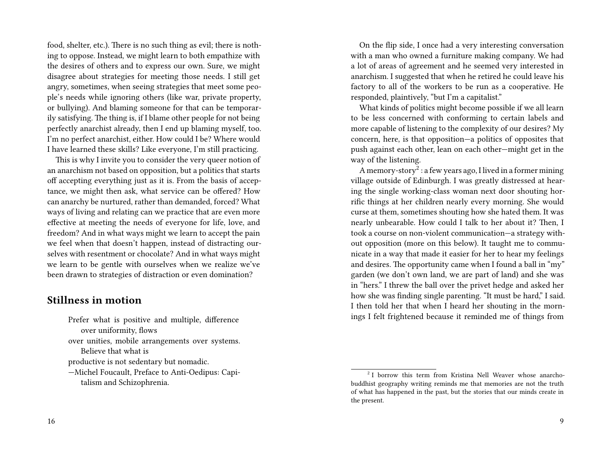food, shelter, etc.). There is no such thing as evil; there is nothing to oppose. Instead, we might learn to both empathize with the desires of others and to express our own. Sure, we might disagree about strategies for meeting those needs. I still get angry, sometimes, when seeing strategies that meet some people's needs while ignoring others (like war, private property, or bullying). And blaming someone for that can be temporarily satisfying. The thing is, if I blame other people for not being perfectly anarchist already, then I end up blaming myself, too. I'm no perfect anarchist, either. How could I be? Where would I have learned these skills? Like everyone, I'm still practicing.

This is why I invite you to consider the very queer notion of an anarchism not based on opposition, but a politics that starts off accepting everything just as it is. From the basis of acceptance, we might then ask, what service can be offered? How can anarchy be nurtured, rather than demanded, forced? What ways of living and relating can we practice that are even more effective at meeting the needs of everyone for life, love, and freedom? And in what ways might we learn to accept the pain we feel when that doesn't happen, instead of distracting ourselves with resentment or chocolate? And in what ways might we learn to be gentle with ourselves when we realize we've been drawn to strategies of distraction or even domination?

#### **Stillness in motion**

- Prefer what is positive and multiple, difference over uniformity, flows
- over unities, mobile arrangements over systems. Believe that what is
- productive is not sedentary but nomadic.
- —Michel Foucault, Preface to Anti-Oedipus: Capitalism and Schizophrenia.

On the flip side, I once had a very interesting conversation with a man who owned a furniture making company. We had a lot of areas of agreement and he seemed very interested in anarchism. I suggested that when he retired he could leave his factory to all of the workers to be run as a cooperative. He responded, plaintively, "but I'm a capitalist."

What kinds of politics might become possible if we all learn to be less concerned with conforming to certain labels and more capable of listening to the complexity of our desires? My concern, here, is that opposition—a politics of opposites that push against each other, lean on each other—might get in the way of the listening.

A memory-story $^2$  : a few years ago, I lived in a former mining village outside of Edinburgh. I was greatly distressed at hearing the single working-class woman next door shouting horrific things at her children nearly every morning. She would curse at them, sometimes shouting how she hated them. It was nearly unbearable. How could I talk to her about it? Then, I took a course on non-violent communication—a strategy without opposition (more on this below). It taught me to communicate in a way that made it easier for her to hear my feelings and desires. The opportunity came when I found a ball in "my" garden (we don't own land, we are part of land) and she was in "hers." I threw the ball over the privet hedge and asked her how she was finding single parenting. "It must be hard," I said. I then told her that when I heard her shouting in the mornings I felt frightened because it reminded me of things from

<sup>&</sup>lt;sup>2</sup> I borrow this term from Kristina Nell Weaver whose anarchobuddhist geography writing reminds me that memories are not the truth of what has happened in the past, but the stories that our minds create in the present.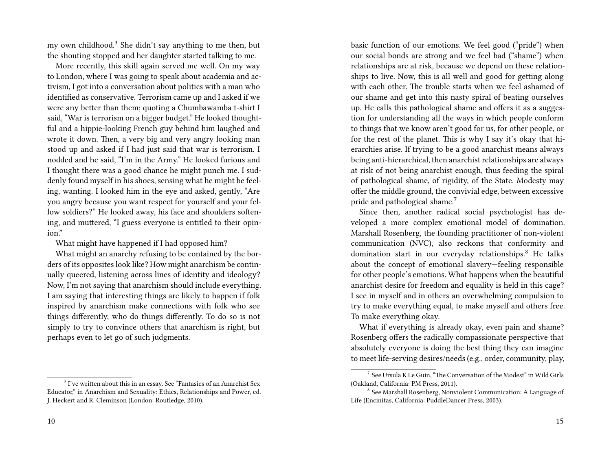my own childhood.<sup>3</sup> She didn't say anything to me then, but the shouting stopped and her daughter started talking to me.

More recently, this skill again served me well. On my way to London, where I was going to speak about academia and activism, I got into a conversation about politics with a man who identified as conservative. Terrorism came up and I asked if we were any better than them; quoting a Chumbawamba t-shirt I said, "War is terrorism on a bigger budget." He looked thoughtful and a hippie-looking French guy behind him laughed and wrote it down. Then, a very big and very angry looking man stood up and asked if I had just said that war is terrorism. I nodded and he said, "I'm in the Army." He looked furious and I thought there was a good chance he might punch me. I suddenly found myself in his shoes, sensing what he might be feeling, wanting. I looked him in the eye and asked, gently, "Are you angry because you want respect for yourself and your fellow soldiers?" He looked away, his face and shoulders softening, and muttered, "I guess everyone is entitled to their opinion."

What might have happened if I had opposed him?

What might an anarchy refusing to be contained by the borders of its opposites look like? How might anarchism be continually queered, listening across lines of identity and ideology? Now, I'm not saying that anarchism should include everything. I am saying that interesting things are likely to happen if folk inspired by anarchism make connections with folk who see things differently, who do things differently. To do so is not simply to try to convince others that anarchism is right, but perhaps even to let go of such judgments.

 $^3$ I've written about this in an essay. See "Fantasies of an Anarchist Sex Educator," in Anarchism and Sexuality: Ethics, Relationships and Power, ed. J. Heckert and R. Cleminson (London: Routledge, 2010).

basic function of our emotions. We feel good ("pride") when our social bonds are strong and we feel bad ("shame") when relationships are at risk, because we depend on these relationships to live. Now, this is all well and good for getting along with each other. The trouble starts when we feel ashamed of our shame and get into this nasty spiral of beating ourselves up. He calls this pathological shame and offers it as a suggestion for understanding all the ways in which people conform to things that we know aren't good for us, for other people, or for the rest of the planet. This is why I say it's okay that hierarchies arise. If trying to be a good anarchist means always being anti-hierarchical, then anarchist relationships are always at risk of not being anarchist enough, thus feeding the spiral of pathological shame, of rigidity, of the State. Modesty may offer the middle ground, the convivial edge, between excessive pride and pathological shame.<sup>7</sup>

Since then, another radical social psychologist has developed a more complex emotional model of domination. Marshall Rosenberg, the founding practitioner of non-violent communication (NVC), also reckons that conformity and domination start in our everyday relationships.<sup>8</sup> He talks about the concept of emotional slavery—feeling responsible for other people's emotions. What happens when the beautiful anarchist desire for freedom and equality is held in this cage? I see in myself and in others an overwhelming compulsion to try to make everything equal, to make myself and others free. To make everything okay.

What if everything is already okay, even pain and shame? Rosenberg offers the radically compassionate perspective that absolutely everyone is doing the best thing they can imagine to meet life-serving desires/needs (e.g., order, community, play,

 $7$  See Ursula K Le Guin, "The Conversation of the Modest" in Wild Girls (Oakland, California: PM Press, 2011).

<sup>&</sup>lt;sup>8</sup> See Marshall Rosenberg, Nonviolent Communication: A Language of Life (Encinitas, California: PuddleDancer Press, 2003).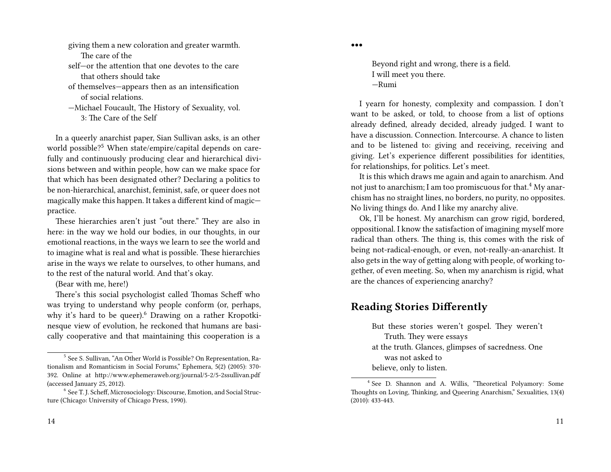giving them a new coloration and greater warmth. The care of the

self—or the attention that one devotes to the care that others should take

of themselves—appears then as an intensification of social relations.

—Michael Foucault, The History of Sexuality, vol. 3: The Care of the Self

In a queerly anarchist paper, Sian Sullivan asks, is an other world possible?<sup>5</sup> When state/empire/capital depends on carefully and continuously producing clear and hierarchical divisions between and within people, how can we make space for that which has been designated other? Declaring a politics to be non-hierarchical, anarchist, feminist, safe, or queer does not magically make this happen. It takes a different kind of magic practice.

These hierarchies aren't just "out there." They are also in here: in the way we hold our bodies, in our thoughts, in our emotional reactions, in the ways we learn to see the world and to imagine what is real and what is possible. These hierarchies arise in the ways we relate to ourselves, to other humans, and to the rest of the natural world. And that's okay.

(Bear with me, here!)

There's this social psychologist called Thomas Scheff who was trying to understand why people conform (or, perhaps, why it's hard to be queer).<sup>6</sup> Drawing on a rather Kropotkinesque view of evolution, he reckoned that humans are basically cooperative and that maintaining this cooperation is a

**•••**

Beyond right and wrong, there is a field. I will meet you there. —Rumi

I yearn for honesty, complexity and compassion. I don't want to be asked, or told, to choose from a list of options already defined, already decided, already judged. I want to have a discussion. Connection. Intercourse. A chance to listen and to be listened to: giving and receiving, receiving and giving. Let's experience different possibilities for identities, for relationships, for politics. Let's meet.

It is this which draws me again and again to anarchism. And not just to anarchism; I am too promiscuous for that.<sup>4</sup> My anarchism has no straight lines, no borders, no purity, no opposites. No living things do. And I like my anarchy alive.

Ok, I'll be honest. My anarchism can grow rigid, bordered, oppositional. I know the satisfaction of imagining myself more radical than others. The thing is, this comes with the risk of being not-radical-enough, or even, not-really-an-anarchist. It also gets in the way of getting along with people, of working together, of even meeting. So, when my anarchism is rigid, what are the chances of experiencing anarchy?

### **Reading Stories Differently**

But these stories weren't gospel. They weren't Truth. They were essays at the truth. Glances, glimpses of sacredness. One was not asked to believe, only to listen.

<sup>5</sup> See S. Sullivan, "An Other World is Possible? On Representation, Rationalism and Romanticism in Social Forums," Ephemera, 5(2) (2005): 370- 392. Online at http://www.ephemeraweb.org/journal/5-2/5-2ssullivan.pdf (accessed January 25, 2012).

<sup>&</sup>lt;sup>6</sup> See T. J. Scheff, Microsociology: Discourse, Emotion, and Social Structure (Chicago: University of Chicago Press, 1990).

<sup>4</sup> See D. Shannon and A. Willis, "Theoretical Polyamory: Some Thoughts on Loving, Thinking, and Queering Anarchism," Sexualities, 13(4) (2010): 433-443.